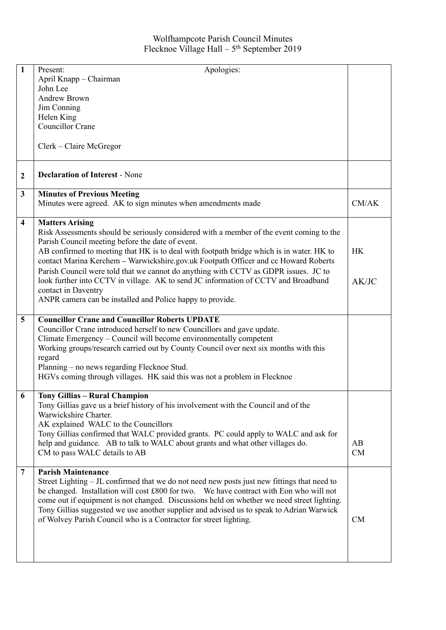## Wolfhampcote Parish Council Minutes Flecknoe Village Hall –  $5<sup>th</sup>$  September 2019

| 1                       | Apologies:<br>Present:                                                                      |           |
|-------------------------|---------------------------------------------------------------------------------------------|-----------|
|                         | April Knapp - Chairman                                                                      |           |
|                         | John Lee                                                                                    |           |
|                         |                                                                                             |           |
|                         | <b>Andrew Brown</b>                                                                         |           |
|                         | Jim Conning                                                                                 |           |
|                         | Helen King                                                                                  |           |
|                         | <b>Councillor Crane</b>                                                                     |           |
|                         |                                                                                             |           |
|                         | Clerk – Claire McGregor                                                                     |           |
| $\boldsymbol{2}$        | <b>Declaration of Interest - None</b>                                                       |           |
| $\mathbf{3}$            | <b>Minutes of Previous Meeting</b>                                                          |           |
|                         | Minutes were agreed. AK to sign minutes when amendments made                                | CM/AK     |
| $\overline{\mathbf{4}}$ | <b>Matters Arising</b>                                                                      |           |
|                         | Risk Assessments should be seriously considered with a member of the event coming to the    |           |
|                         | Parish Council meeting before the date of event.                                            |           |
|                         | AB confirmed to meeting that HK is to deal with footpath bridge which is in water. HK to    | <b>HK</b> |
|                         | contact Marina Kerchem - Warwickshire.gov.uk Footpath Officer and cc Howard Roberts         |           |
|                         | Parish Council were told that we cannot do anything with CCTV as GDPR issues. JC to         |           |
|                         | look further into CCTV in village. AK to send JC information of CCTV and Broadband          | AK/JC     |
|                         |                                                                                             |           |
|                         | contact in Daventry                                                                         |           |
|                         | ANPR camera can be installed and Police happy to provide.                                   |           |
| $\overline{5}$          | <b>Councillor Crane and Councillor Roberts UPDATE</b>                                       |           |
|                         |                                                                                             |           |
|                         | Councillor Crane introduced herself to new Councillors and gave update.                     |           |
|                         | Climate Emergency – Council will become environmentally competent                           |           |
|                         | Working groups/research carried out by County Council over next six months with this        |           |
|                         | regard                                                                                      |           |
|                         | Planning - no news regarding Flecknoe Stud.                                                 |           |
|                         | HGVs coming through villages. HK said this was not a problem in Flecknoe                    |           |
| 6                       | <b>Tony Gillias - Rural Champion</b>                                                        |           |
|                         | Tony Gillias gave us a brief history of his involvement with the Council and of the         |           |
|                         | Warwickshire Charter.                                                                       |           |
|                         |                                                                                             |           |
|                         | AK explained WALC to the Councillors                                                        |           |
|                         | Tony Gillias confirmed that WALC provided grants. PC could apply to WALC and ask for        |           |
|                         | help and guidance. AB to talk to WALC about grants and what other villages do.              | AB        |
|                         | CM to pass WALC details to AB                                                               | CM        |
| 7                       | <b>Parish Maintenance</b>                                                                   |           |
|                         | Street Lighting – JL confirmed that we do not need new posts just new fittings that need to |           |
|                         | be changed. Installation will cost £800 for two. We have contract with Eon who will not     |           |
|                         |                                                                                             |           |
|                         | come out if equipment is not changed. Discussions held on whether we need street lighting.  |           |
|                         | Tony Gillias suggested we use another supplier and advised us to speak to Adrian Warwick    |           |
|                         | of Wolvey Parish Council who is a Contractor for street lighting.                           | CM        |
|                         |                                                                                             |           |
|                         |                                                                                             |           |
|                         |                                                                                             |           |
|                         |                                                                                             |           |